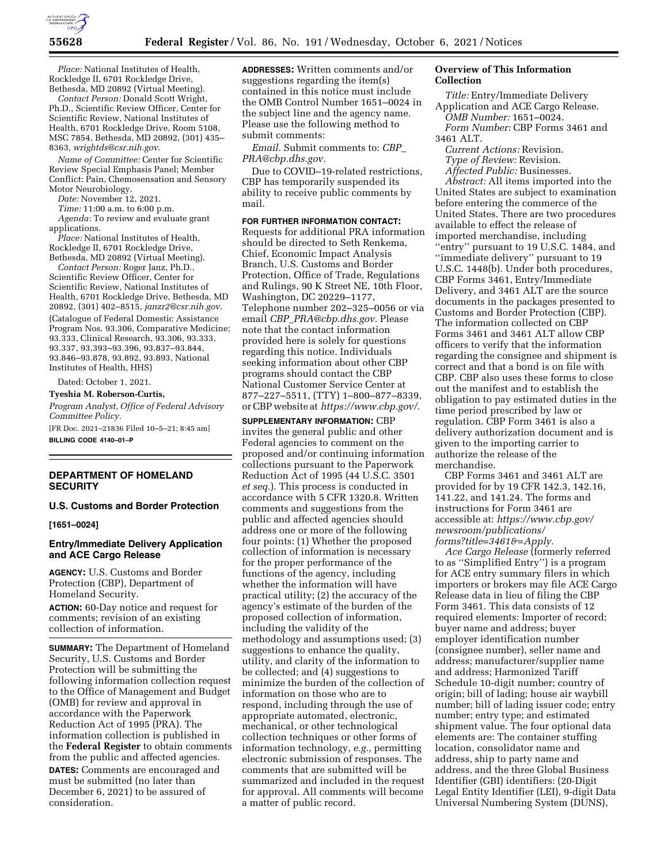

*Place:* National Institutes of Health, Rockledge II, 6701 Rockledge Drive, Bethesda, MD 20892 (Virtual Meeting).

*Contact Person:* Donald Scott Wright, Ph.D., Scientific Review Officer, Center for Scientific Review, National Institutes of Health, 6701 Rockledge Drive, Room 5108, MSC 7854, Bethesda, MD 20892, (301) 435– 8363, *[wrightds@csr.nih.gov](mailto:wrightds@csr.nih.gov)*.

*Name of Committee:* Center for Scientific Review Special Emphasis Panel; Member Conflict: Pain, Chemosensation and Sensory Motor Neurobiology.

*Date:* November 12, 2021.

*Time:* 11:00 a.m. to 6:00 p.m.

*Agenda:* To review and evaluate grant applications.

*Place:* National Institutes of Health, Rockledge II, 6701 Rockledge Drive, Bethesda, MD 20892 (Virtual Meeting).

*Contact Person:* Roger Janz, Ph.D., Scientific Review Officer, Center for Scientific Review, National Institutes of Health, 6701 Rockledge Drive, Bethesda, MD 20892, (301) 402–8515, *[janzr2@csr.nih.gov](mailto:janzr2@csr.nih.gov)*. (Catalogue of Federal Domestic Assistance Program Nos. 93.306, Comparative Medicine; 93.333, Clinical Research, 93.306, 93.333, 93.337, 93.393–93.396, 93.837–93.844, 93.846–93.878, 93.892, 93.893, National Institutes of Health, HHS)

Dated: October 1, 2021.

**Tyeshia M. Roberson-Curtis,** 

*Program Analyst, Office of Federal Advisory Committee Policy.* 

[FR Doc. 2021–21836 Filed 10–5–21; 8:45 am] **BILLING CODE 4140–01–P** 

## **DEPARTMENT OF HOMELAND SECURITY**

#### **U.S. Customs and Border Protection**

**[1651–0024]** 

#### **Entry/Immediate Delivery Application and ACE Cargo Release**

**AGENCY:** U.S. Customs and Border Protection (CBP), Department of Homeland Security.

**ACTION:** 60-Day notice and request for comments; revision of an existing collection of information.

**SUMMARY:** The Department of Homeland Security, U.S. Customs and Border Protection will be submitting the following information collection request to the Office of Management and Budget (OMB) for review and approval in accordance with the Paperwork Reduction Act of 1995 (PRA). The information collection is published in the **Federal Register** to obtain comments from the public and affected agencies. **DATES:** Comments are encouraged and must be submitted (no later than December 6, 2021) to be assured of consideration.

**ADDRESSES:** Written comments and/or suggestions regarding the item(s) contained in this notice must include the OMB Control Number 1651–0024 in the subject line and the agency name. Please use the following method to submit comments:

*Email.* Submit comments to: *[CBP](mailto:CBP_PRA@cbp.dhs.gov)*\_ *[PRA@cbp.dhs.gov.](mailto:CBP_PRA@cbp.dhs.gov)* 

Due to COVID–19-related restrictions, CBP has temporarily suspended its ability to receive public comments by mail.

**FOR FURTHER INFORMATION CONTACT:**  Requests for additional PRA information should be directed to Seth Renkema,

Chief, Economic Impact Analysis Branch, U.S. Customs and Border Protection, Office of Trade, Regulations and Rulings, 90 K Street NE, 10th Floor, Washington, DC 20229–1177, Telephone number 202–325–0056 or via email *CBP*\_*[PRA@cbp.dhs.gov.](mailto:CBP_PRA@cbp.dhs.gov)* Please note that the contact information provided here is solely for questions regarding this notice. Individuals seeking information about other CBP programs should contact the CBP National Customer Service Center at 877–227–5511, (TTY) 1–800–877–8339, or CBP website at *[https://www.cbp.gov/.](https://www.cbp.gov/)* 

**SUPPLEMENTARY INFORMATION:** CBP invites the general public and other Federal agencies to comment on the proposed and/or continuing information collections pursuant to the Paperwork Reduction Act of 1995 (44 U.S.C. 3501 *et seq.*). This process is conducted in accordance with 5 CFR 1320.8. Written comments and suggestions from the public and affected agencies should address one or more of the following four points: (1) Whether the proposed collection of information is necessary for the proper performance of the functions of the agency, including whether the information will have practical utility; (2) the accuracy of the agency's estimate of the burden of the proposed collection of information, including the validity of the methodology and assumptions used; (3) suggestions to enhance the quality, utility, and clarity of the information to be collected; and (4) suggestions to minimize the burden of the collection of information on those who are to respond, including through the use of appropriate automated, electronic, mechanical, or other technological collection techniques or other forms of information technology, *e.g.,* permitting electronic submission of responses. The comments that are submitted will be summarized and included in the request for approval. All comments will become a matter of public record.

## **Overview of This Information Collection**

*Title:* Entry/Immediate Delivery Application and ACE Cargo Release.

*OMB Number:* 1651–0024. *Form Number:* CBP Forms 3461 and

3461 ALT.

*Current Actions:* Revision.

*Type of Review:* Revision.

*Affected Public:* Businesses.

*Abstract:* All items imported into the United States are subject to examination before entering the commerce of the United States. There are two procedures available to effect the release of imported merchandise, including ''entry'' pursuant to 19 U.S.C. 1484, and ''immediate delivery'' pursuant to 19 U.S.C. 1448(b). Under both procedures, CBP Forms 3461, Entry/Immediate Delivery, and 3461 ALT are the source documents in the packages presented to Customs and Border Protection (CBP). The information collected on CBP Forms 3461 and 3461 ALT allow CBP officers to verify that the information regarding the consignee and shipment is correct and that a bond is on file with CBP. CBP also uses these forms to close out the manifest and to establish the obligation to pay estimated duties in the time period prescribed by law or regulation. CBP Form 3461 is also a delivery authorization document and is given to the importing carrier to authorize the release of the merchandise.

CBP Forms 3461 and 3461 ALT are provided for by 19 CFR 142.3, 142.16, 141.22, and 141.24. The forms and instructions for Form 3461 are accessible at: *[https://www.cbp.gov/](https://www.cbp.gov/newsroom/publications/forms?title=3461&=Apply) [newsroom/publications/](https://www.cbp.gov/newsroom/publications/forms?title=3461&=Apply)  [forms?title=3461&=Apply.](https://www.cbp.gov/newsroom/publications/forms?title=3461&=Apply)* 

*Ace Cargo Release* (formerly referred to as ''Simplified Entry'') is a program for ACE entry summary filers in which importers or brokers may file ACE Cargo Release data in lieu of filing the CBP Form 3461. This data consists of 12 required elements: Importer of record; buyer name and address; buyer employer identification number (consignee number), seller name and address; manufacturer/supplier name and address; Harmonized Tariff Schedule 10-digit number; country of origin; bill of lading; house air waybill number; bill of lading issuer code; entry number; entry type; and estimated shipment value. The four optional data elements are: The container stuffing location, consolidator name and address, ship to party name and address, and the three Global Business Identifier (GBI) identifiers: (20-Digit Legal Entity Identifier (LEI), 9-digit Data Universal Numbering System (DUNS),